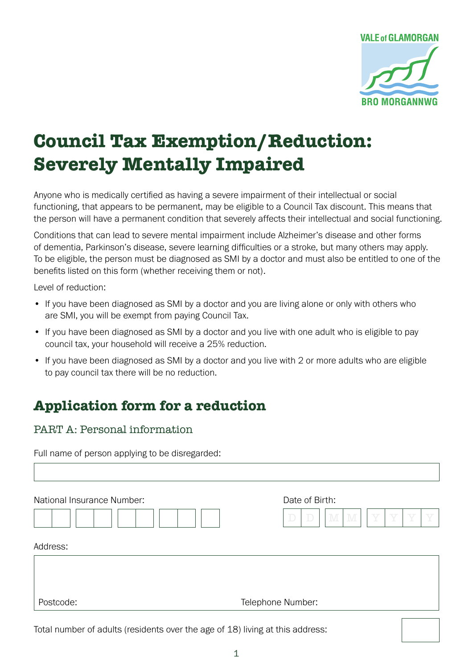

# **Council Tax Exemption/Reduction: Severely Mentally Impaired**

Anyone who is medically certified as having a severe impairment of their intellectual or social functioning, that appears to be permanent, may be eligible to a Council Tax discount. This means that the person will have a permanent condition that severely affects their intellectual and social functioning.

Conditions that can lead to severe mental impairment include Alzheimer's disease and other forms of dementia, Parkinson's disease, severe learning difficulties or a stroke, but many others may apply. To be eligible, the person must be diagnosed as SMI by a doctor and must also be entitled to one of the benefits listed on this form (whether receiving them or not).

Level of reduction:

- If you have been diagnosed as SMI by a doctor and you are living alone or only with others who are SMI, you will be exempt from paying Council Tax.
- If you have been diagnosed as SMI by a doctor and you live with one adult who is eligible to pay council tax, your household will receive a 25% reduction.
- If you have been diagnosed as SMI by a doctor and you live with 2 or more adults who are eligible to pay council tax there will be no reduction.

## **Application form for a reduction**

PART A: Personal information

Full name of person applying to be disregarded:

| National Insurance Number: | Date of Birth:<br>Y<br>Y<br>M<br>Y<br>Y<br>$\mathbb D$<br>M<br>$\mathbb D$ |
|----------------------------|----------------------------------------------------------------------------|
| Address:                   |                                                                            |
|                            |                                                                            |
| Postcode:                  | Telephone Number:                                                          |

Total number of adults (residents over the age of 18) living at this address: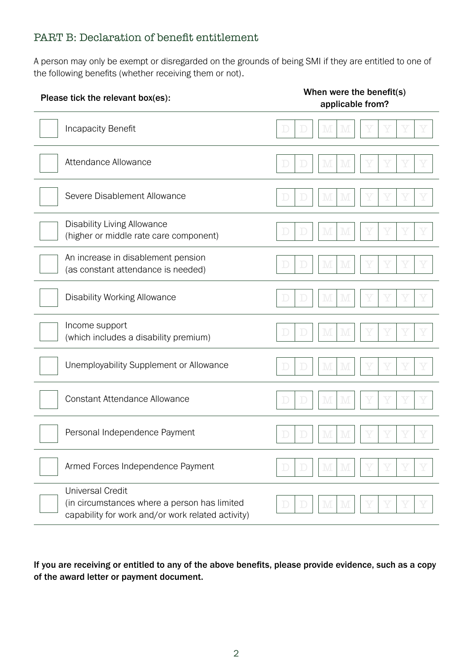### PART B: Declaration of benefit entitlement

A person may only be exempt or disregarded on the grounds of being SMI if they are entitled to one of the following benefits (whether receiving them or not).

| Please tick the relevant box(es):                                                                                            | When were the benefit(s)<br>applicable from? |  |  |  |  |  |
|------------------------------------------------------------------------------------------------------------------------------|----------------------------------------------|--|--|--|--|--|
| <b>Incapacity Benefit</b>                                                                                                    | M<br>$\mathbb D$<br>M<br>D                   |  |  |  |  |  |
| Attendance Allowance                                                                                                         | M<br>M<br>$\mathbb D$<br>$\mathbb{D}%$       |  |  |  |  |  |
| Severe Disablement Allowance                                                                                                 | M<br>M<br>D<br>D                             |  |  |  |  |  |
| <b>Disability Living Allowance</b><br>(higher or middle rate care component)                                                 | M<br>$\mathbb D$<br>M<br>Y<br>$\mathbb D$    |  |  |  |  |  |
| An increase in disablement pension<br>(as constant attendance is needed)                                                     | M<br>D<br>$\Box$<br><u>IV</u>                |  |  |  |  |  |
| <b>Disability Working Allowance</b>                                                                                          | M<br>Y<br>$\mathbb D$<br>M<br>D              |  |  |  |  |  |
| Income support<br>(which includes a disability premium)                                                                      | M<br>M<br>D<br>$\mathbb D$                   |  |  |  |  |  |
| Unemployability Supplement or Allowance                                                                                      | M<br>M<br>$\mathbb D$<br>D                   |  |  |  |  |  |
| <b>Constant Attendance Allowance</b>                                                                                         | M<br>$\mathbb D$<br>$\mathbb D$<br>M<br>Y    |  |  |  |  |  |
| Personal Independence Payment                                                                                                | M<br>M                                       |  |  |  |  |  |
| Armed Forces Independence Payment                                                                                            | M<br>M<br>D<br>$\Box$                        |  |  |  |  |  |
| <b>Universal Credit</b><br>(in circumstances where a person has limited<br>capability for work and/or work related activity) | M<br>M<br>$\Box$                             |  |  |  |  |  |

If you are receiving or entitled to any of the above benefits, please provide evidence, such as a copy of the award letter or payment document.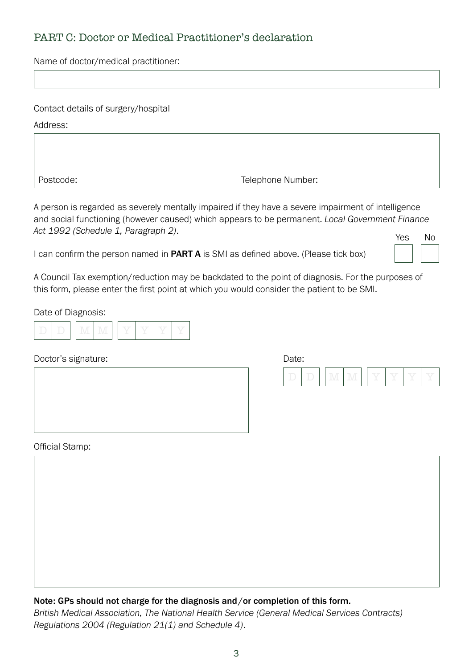### PART C: Doctor or Medical Practitioner's declaration

Name of doctor/medical practitioner:

| Contact details of surgery/hospital |  |
|-------------------------------------|--|
|-------------------------------------|--|

Address:

Postcode: Telephone Number:

A person is regarded as severely mentally impaired if they have a severe impairment of intelligence and social functioning (however caused) which appears to be permanent. *Local Government Finance Act 1992 (Schedule 1, Paragraph 2)*.

I can confirm the person named in **PART A** is SMI as defined above. (Please tick box)

| Yes | <b>No</b> |
|-----|-----------|
|     |           |

A Council Tax exemption/reduction may be backdated to the point of diagnosis. For the purposes of this form, please enter the first point at which you would consider the patient to be SMI.

Date of Diagnosis:

|  | . | and the Mind State | <b>Selling</b> | <b>Service Service</b><br>$\sim$ | $\sim$ | nge ey<br>$\sim$ |
|--|---|--------------------|----------------|----------------------------------|--------|------------------|
|--|---|--------------------|----------------|----------------------------------|--------|------------------|

Doctor's signature:

| Date: |           |   |        |  |  |
|-------|-----------|---|--------|--|--|
|       | and Madis | . | $\sim$ |  |  |

Official Stamp:

## Note: GPs should not charge for the diagnosis and/or completion of this form.

*British Medical Association, The National Health Service (General Medical Services Contracts) Regulations 2004 (Regulation 21(1) and Schedule 4)*.